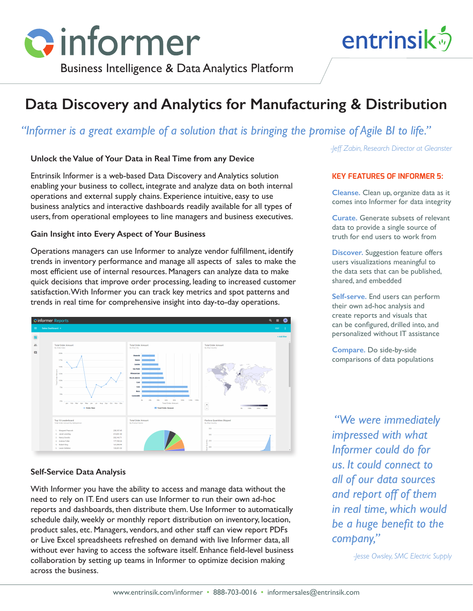

Business Intelligence & Data Analytics Platform

# **Data Discovery and Analytics for Manufacturing & Distribution**

# *"Informer is a great example of a solution that is bringing the promise of Agile BI to life."*

### **Unlock the Value of Your Data in Real Time from any Device**

Entrinsik Informer is a web-based Data Discovery and Analytics solution enabling your business to collect, integrate and analyze data on both internal operations and external supply chains. Experience intuitive, easy to use business analytics and interactive dashboards readily available for all types of users, from operational employees to line managers and business executives.

#### **Gain Insight into Every Aspect of Your Business**

Operations managers can use Informer to analyze vendor fulfillment, identify trends in inventory performance and manage all aspects of sales to make the most efficient use of internal resources. Managers can analyze data to make quick decisions that improve order processing, leading to increased customer satisfaction. With Informer you can track key metrics and spot patterns and trends in real time for comprehensive insight into day-to-day operations.



#### **Self-Service Data Analysis**

With Informer you have the ability to access and manage data without the need to rely on IT. End users can use Informer to run their own ad-hoc reports and dashboards, then distribute them. Use Informer to automatically schedule daily, weekly or monthly report distribution on inventory, location, product sales, etc. Managers, vendors, and other staff can view report PDFs or Live Excel spreadsheets refreshed on demand with live Informer data, all without ever having to access the software itself. Enhance field-level business collaboration by setting up teams in Informer to optimize decision making across the business.

*-Jeff Zabin, Research Director at Gleanster*

entrinsik<sup>5</sup>

#### **KEY FEATURES OF INFORMER 5:**

**Cleanse.** Clean up, organize data as it comes into Informer for data integrity

**Curate.** Generate subsets of relevant data to provide a single source of truth for end users to work from

**Discover.** Suggestion feature offers users visualizations meaningful to the data sets that can be published, shared, and embedded

**Self-serve.** End users can perform their own ad-hoc analysis and create reports and visuals that can be configured, drilled into, and personalized without IT assistance

**Compare.** Do side-by-side comparisons of data populations

 *"We were immediately impressed with what Informer could do for us. It could connect to all of our data sources and report off of them in real time, which would be a huge benefit to the company,"*

*-Jesse Owsley, SMC Electric Supply*